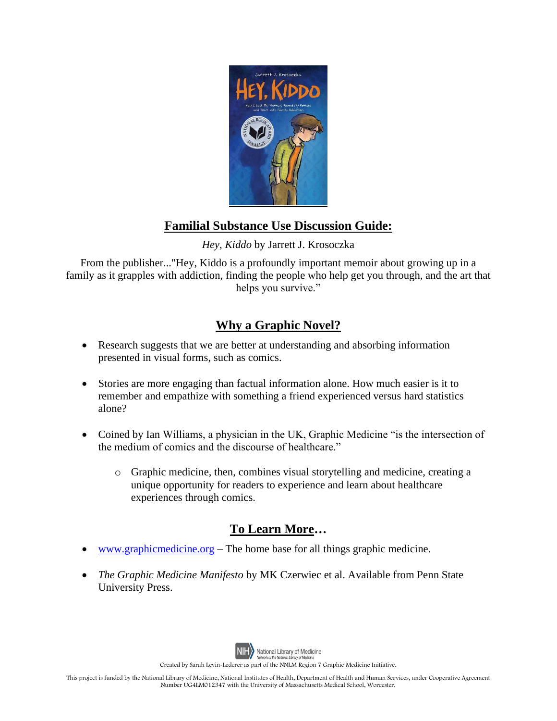

## **Familial Substance Use Discussion Guide:**

*Hey, Kiddo* by Jarrett J. Krosoczka

From the publisher..."Hey, Kiddo is a profoundly important memoir about growing up in a family as it grapples with addiction, finding the people who help get you through, and the art that helps you survive."

## **Why a Graphic Novel?**

- Research suggests that we are better at understanding and absorbing information presented in visual forms, such as comics.
- Stories are more engaging than factual information alone. How much easier is it to remember and empathize with something a friend experienced versus hard statistics alone?
- Coined by Ian Williams, a physician in the UK, Graphic Medicine "is the intersection of the medium of comics and the discourse of healthcare."
	- o Graphic medicine, then, combines visual storytelling and medicine, creating a unique opportunity for readers to experience and learn about healthcare experiences through comics.

## **To Learn More…**

- [www.graphicmedicine.org](http://www.graphicmedicine.org/) The home base for all things graphic medicine.
- *The Graphic Medicine Manifesto* by MK Czerwiec et al. Available from Penn State University Press.



National Library of Medicine

Created by Sarah Levin-Lederer as part of the NNLM Region 7 Graphic Medicine Initiative.

This project is funded by the National Library of Medicine, National Institutes of Health, Department of Health and Human Services, under Cooperative Agreement Number UG4LM012347 with the University of Massachusetts Medical School, Worcester.